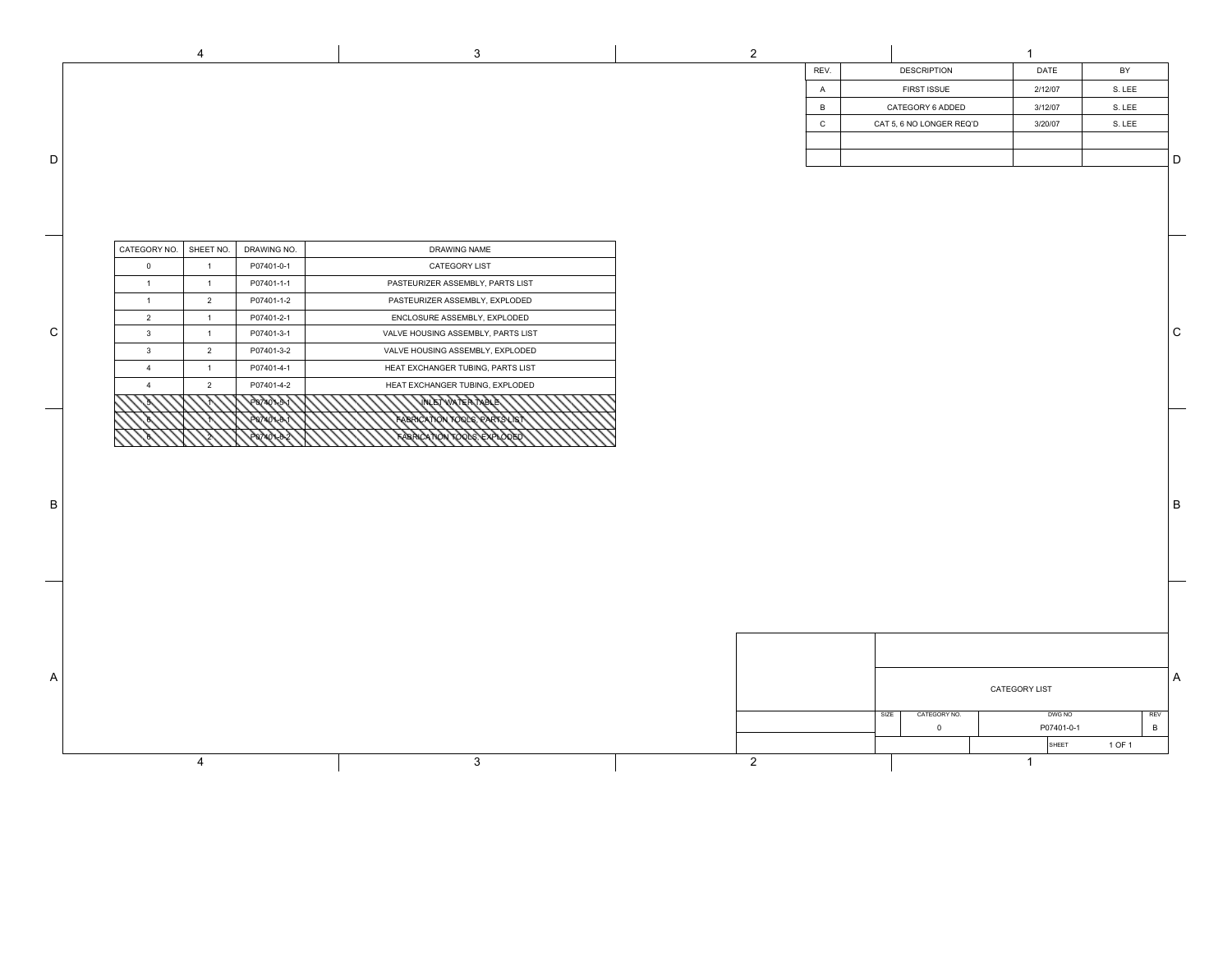|              |                        | $\overline{4}$ |             | 3                                  | $\overline{2}$ |                |      |                          | $\mathbf{1}$  |            |        |              |
|--------------|------------------------|----------------|-------------|------------------------------------|----------------|----------------|------|--------------------------|---------------|------------|--------|--------------|
|              |                        |                |             |                                    |                | REV.           |      | <b>DESCRIPTION</b>       |               | DATE       | BY     |              |
|              |                        |                |             |                                    |                | $\overline{A}$ |      | FIRST ISSUE              |               | 2/12/07    | S. LEE |              |
|              |                        |                |             |                                    |                | $\overline{B}$ |      | CATEGORY 6 ADDED         |               | 3/12/07    | S. LEE |              |
|              |                        |                |             |                                    |                | $\mathbf{C}$   |      | CAT 5, 6 NO LONGER REQ'D |               | 3/20/07    | S. LEE |              |
|              |                        |                |             |                                    |                |                |      |                          |               |            |        |              |
| D            |                        |                |             |                                    |                |                |      |                          |               |            |        | D            |
|              |                        |                |             |                                    |                |                |      |                          |               |            |        |              |
|              |                        |                |             |                                    |                |                |      |                          |               |            |        |              |
|              |                        |                |             |                                    |                |                |      |                          |               |            |        |              |
|              |                        |                |             |                                    |                |                |      |                          |               |            |        |              |
|              | CATEGORY NO. SHEET NO. |                | DRAWING NO. | DRAWING NAME                       |                |                |      |                          |               |            |        |              |
|              | $\overline{0}$         | 1              | P07401-0-1  | CATEGORY LIST                      |                |                |      |                          |               |            |        |              |
|              | 1                      | $\overline{1}$ | P07401-1-1  | PASTEURIZER ASSEMBLY, PARTS LIST   |                |                |      |                          |               |            |        |              |
|              | 1                      | $\overline{2}$ | P07401-1-2  | PASTEURIZER ASSEMBLY, EXPLODED     |                |                |      |                          |               |            |        |              |
| ${\rm C}$    | $\overline{2}$         | $\mathbf{1}$   | P07401-2-1  | ENCLOSURE ASSEMBLY, EXPLODED       |                |                |      |                          |               |            |        | $\mathsf{C}$ |
|              | $\mathbf{3}$           | 1              | P07401-3-1  | VALVE HOUSING ASSEMBLY, PARTS LIST |                |                |      |                          |               |            |        |              |
|              | $\mathbf{3}$           | $\overline{2}$ | P07401-3-2  | VALVE HOUSING ASSEMBLY, EXPLODED   |                |                |      |                          |               |            |        |              |
|              | $\overline{4}$         | 1              | P07401-4-1  | HEAT EXCHANGER TUBING, PARTS LIST  |                |                |      |                          |               |            |        |              |
|              | $\overline{4}$         | $\overline{2}$ | P07401-4-2  | HEAT EXCHANGER TUBING, EXPLODED    |                |                |      |                          |               |            |        |              |
|              |                        |                | 107401-54   | <b>NTRATARN</b>                    |                |                |      |                          |               |            |        |              |
|              |                        |                |             | PARRICATION TON S                  |                |                |      |                          |               |            |        |              |
|              |                        |                |             |                                    |                |                |      |                          |               |            |        |              |
|              |                        |                |             |                                    |                |                |      |                          |               |            |        |              |
|              |                        |                |             |                                    |                |                |      |                          |               |            |        |              |
|              |                        |                |             |                                    |                |                |      |                          |               |            |        |              |
|              |                        |                |             |                                    |                |                |      |                          |               |            |        |              |
|              |                        |                |             |                                    |                |                |      |                          |               |            |        |              |
|              |                        |                |             |                                    |                |                |      |                          |               |            |        |              |
|              |                        |                |             |                                    |                |                |      |                          |               |            |        |              |
|              |                        |                |             |                                    |                |                |      |                          |               |            |        |              |
|              |                        |                |             |                                    |                |                |      |                          |               |            |        |              |
|              |                        |                |             |                                    |                |                |      |                          |               |            |        |              |
|              |                        |                |             |                                    |                |                |      |                          |               |            |        |              |
|              |                        |                |             |                                    |                |                |      |                          |               |            |        |              |
| $\mathsf{A}$ |                        |                |             |                                    |                |                |      |                          |               |            |        |              |
|              |                        |                |             |                                    |                |                |      |                          | CATEGORY LIST |            |        |              |
|              |                        |                |             |                                    |                |                |      |                          |               |            |        |              |
|              |                        |                |             |                                    |                |                | SIZE | CATEGORY NO.             |               | DWG NO     |        | REV          |
|              |                        |                |             |                                    |                |                |      | $\overline{0}$           |               | P07401-0-1 | $\,$ B |              |
|              |                        |                |             |                                    |                |                |      |                          |               | SHEET      | 1 OF 1 |              |
|              |                        | $\overline{4}$ |             | 3                                  | $\overline{2}$ |                |      |                          | $\mathbf{1}$  |            |        |              |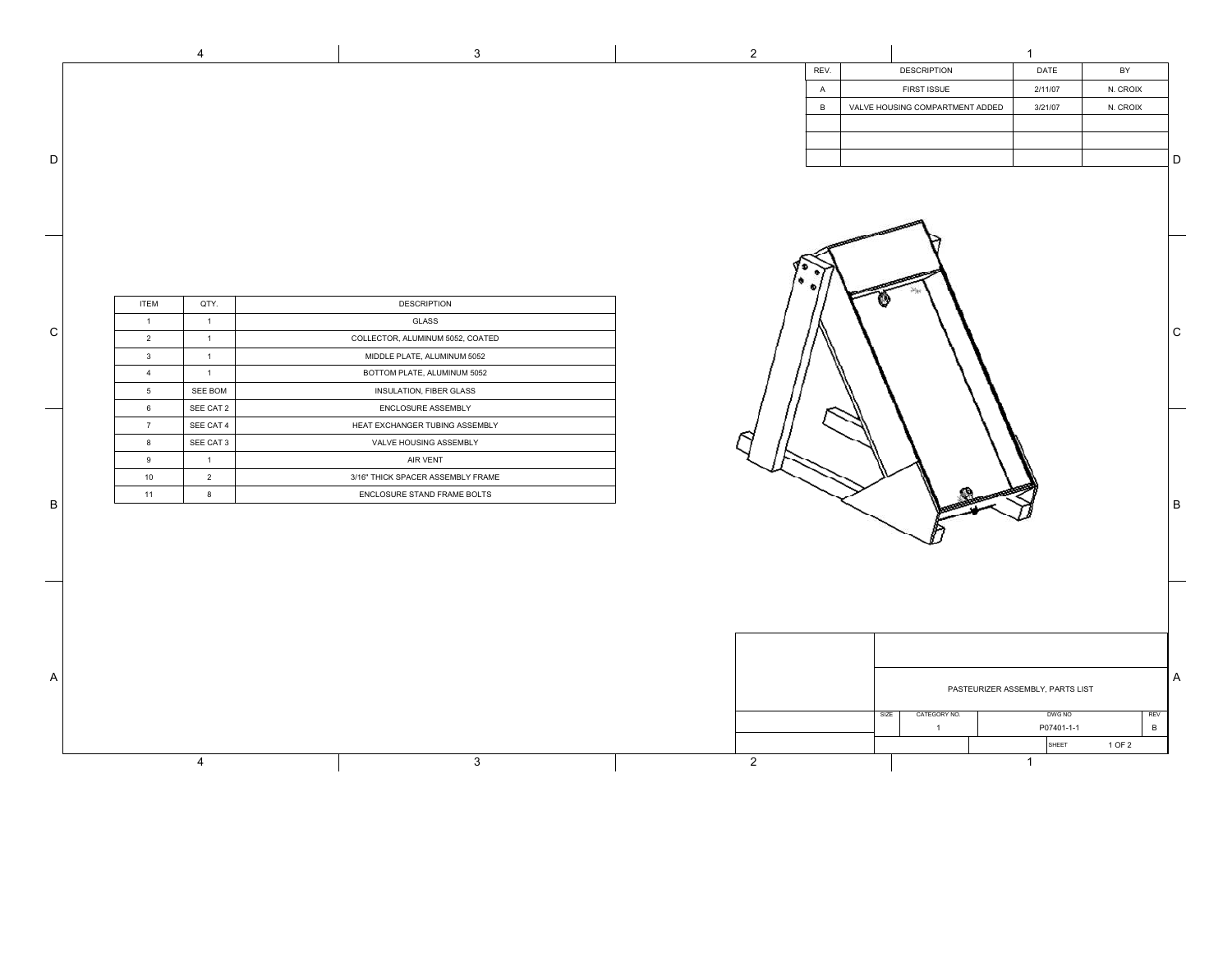|              |                 | 4                | 3                                 | $\overline{2}$ |                |      |                                 | -1                               |            |                |                |
|--------------|-----------------|------------------|-----------------------------------|----------------|----------------|------|---------------------------------|----------------------------------|------------|----------------|----------------|
|              |                 |                  |                                   |                | REV.           |      | <b>DESCRIPTION</b>              | DATE                             |            | BY             |                |
|              |                 |                  |                                   |                | $\overline{A}$ |      | FIRST ISSUE                     | 2/11/07                          |            | N. CROIX       |                |
|              |                 |                  |                                   |                | $\,$ B         |      | VALVE HOUSING COMPARTMENT ADDED | 3/21/07                          |            | N. CROIX       |                |
|              |                 |                  |                                   |                |                |      |                                 |                                  |            |                |                |
|              |                 |                  |                                   |                |                |      |                                 |                                  |            |                |                |
| D            |                 |                  |                                   |                |                |      |                                 |                                  |            |                | D              |
|              |                 |                  |                                   |                |                |      |                                 |                                  |            |                |                |
|              |                 |                  |                                   |                |                |      |                                 |                                  |            |                |                |
|              |                 |                  |                                   |                |                |      |                                 |                                  |            |                |                |
|              |                 |                  |                                   |                |                |      |                                 |                                  |            |                |                |
|              |                 |                  |                                   |                |                |      |                                 |                                  |            |                |                |
|              |                 |                  |                                   |                |                |      |                                 |                                  |            |                |                |
|              |                 |                  |                                   |                |                |      |                                 |                                  |            |                |                |
|              |                 |                  |                                   |                |                |      |                                 |                                  |            |                |                |
|              | <b>ITEM</b>     | QTY.             | <b>DESCRIPTION</b>                |                |                |      |                                 |                                  |            |                |                |
| ${\rm C}$    | $\overline{1}$  | $\overline{1}$   | GLASS                             |                |                |      |                                 |                                  |            |                | C              |
|              | $\overline{2}$  | $\overline{1}$   | COLLECTOR, ALUMINUM 5052, COATED  |                |                |      |                                 |                                  |            |                |                |
|              | $\mathbf{3}$    | $\overline{1}$   | MIDDLE PLATE, ALUMINUM 5052       |                |                |      |                                 |                                  |            |                |                |
|              | $\overline{4}$  | $\overline{1}$   | BOTTOM PLATE, ALUMINUM 5052       |                |                |      |                                 |                                  |            |                |                |
|              | $5\phantom{.0}$ | SEE BOM          | INSULATION, FIBER GLASS           |                |                |      |                                 |                                  |            |                |                |
|              | $6\overline{6}$ | SEE CAT 2        | ENCLOSURE ASSEMBLY                |                |                |      |                                 |                                  |            |                |                |
|              | $\overline{7}$  | SEE CAT 4        | HEAT EXCHANGER TUBING ASSEMBLY    |                |                |      |                                 |                                  |            |                |                |
|              | 8               | SEE CAT 3        | VALVE HOUSING ASSEMBLY            |                |                |      |                                 |                                  |            |                |                |
|              | 9               | $\overline{1}$   | AIR VENT                          |                |                |      |                                 |                                  |            |                |                |
|              | 10              | $\overline{2}$   | 3/16" THICK SPACER ASSEMBLY FRAME |                |                |      |                                 |                                  |            |                |                |
|              | 11              | $\boldsymbol{8}$ | ENCLOSURE STAND FRAME BOLTS       |                |                |      |                                 |                                  |            |                |                |
| $\, {\bf B}$ |                 |                  |                                   |                |                |      |                                 |                                  |            |                | B              |
|              |                 |                  |                                   |                |                |      |                                 |                                  |            |                |                |
|              |                 |                  |                                   |                |                |      |                                 |                                  |            |                |                |
|              |                 |                  |                                   |                |                |      |                                 |                                  |            |                |                |
|              |                 |                  |                                   |                |                |      |                                 |                                  |            |                |                |
|              |                 |                  |                                   |                |                |      |                                 |                                  |            |                |                |
|              |                 |                  |                                   |                |                |      |                                 |                                  |            |                |                |
|              |                 |                  |                                   |                |                |      |                                 |                                  |            |                |                |
|              |                 |                  |                                   |                |                |      |                                 |                                  |            |                |                |
|              |                 |                  |                                   |                |                |      |                                 |                                  |            |                |                |
| A            |                 |                  |                                   |                |                |      |                                 | PASTEURIZER ASSEMBLY, PARTS LIST |            |                | $\overline{A}$ |
|              |                 |                  |                                   |                |                |      |                                 |                                  |            |                |                |
|              |                 |                  |                                   |                |                | SIZE | CATEGORY NO.                    |                                  | DWG NO     | REV            |                |
|              |                 |                  |                                   |                |                |      | $\overline{1}$                  |                                  | P07401-1-1 | $\overline{B}$ |                |
|              |                 |                  |                                   |                |                |      |                                 |                                  | SHEET      | 1 OF 2         |                |
|              |                 | 4                | 3                                 | $\overline{2}$ |                |      |                                 | $\mathbf{1}$                     |            |                |                |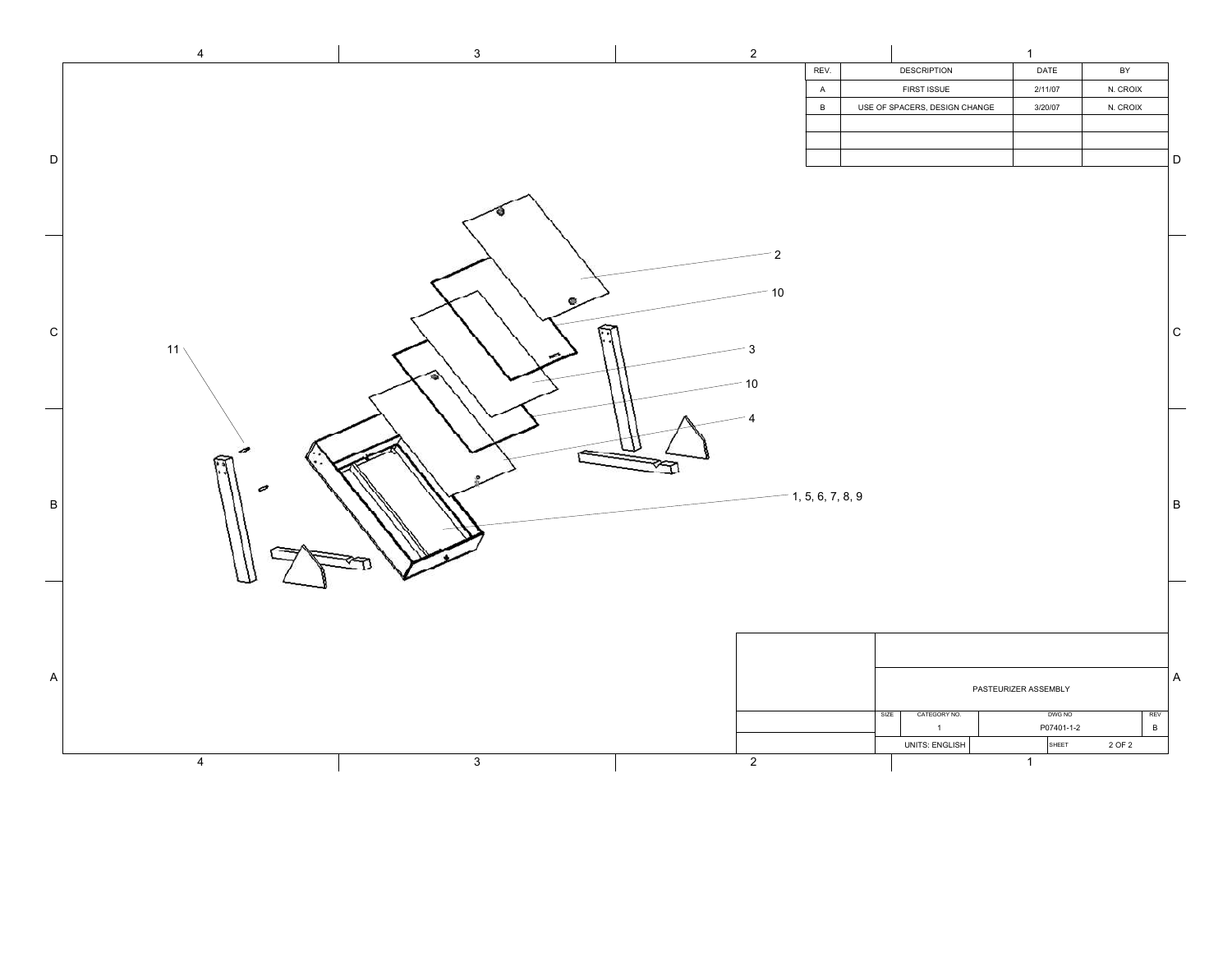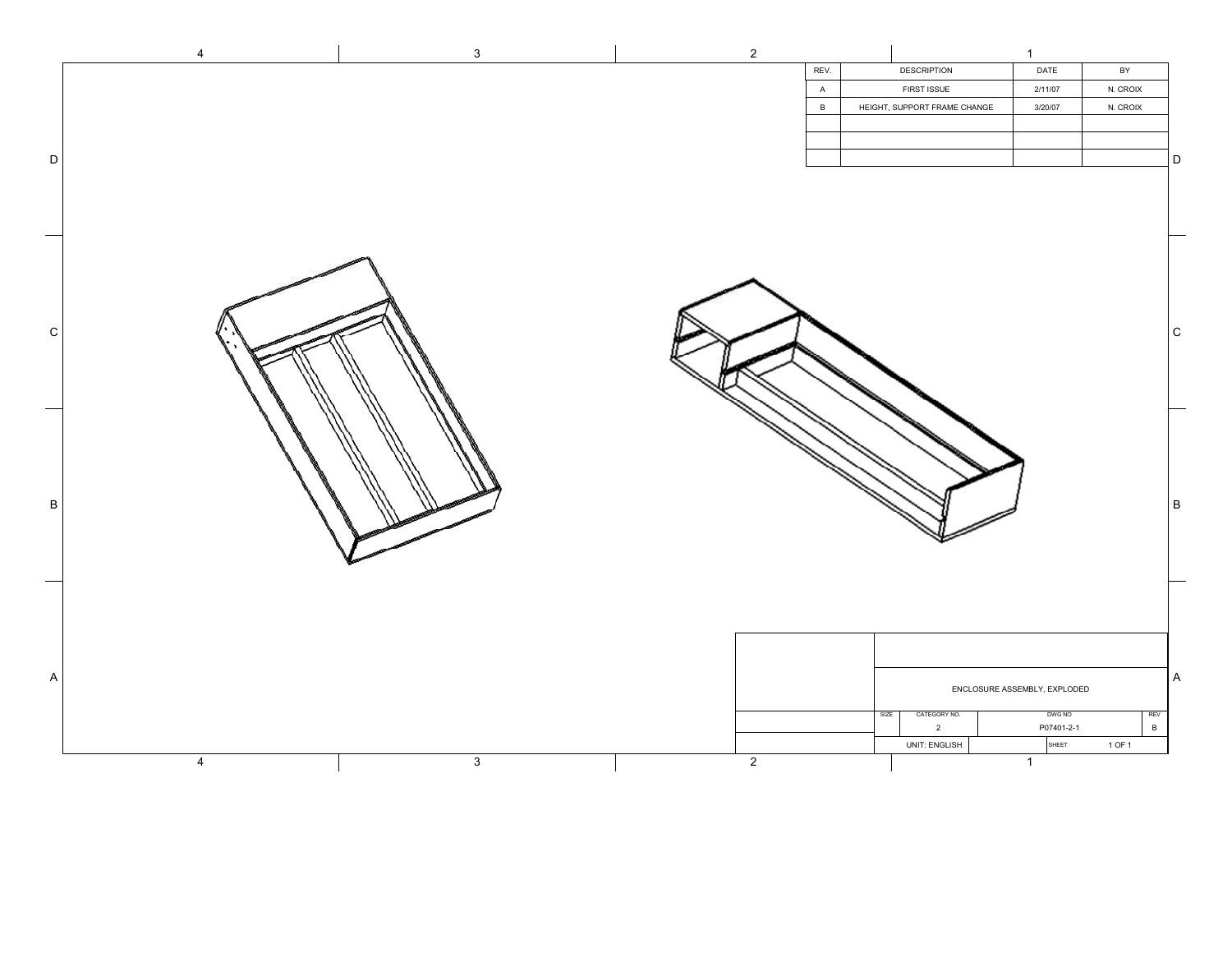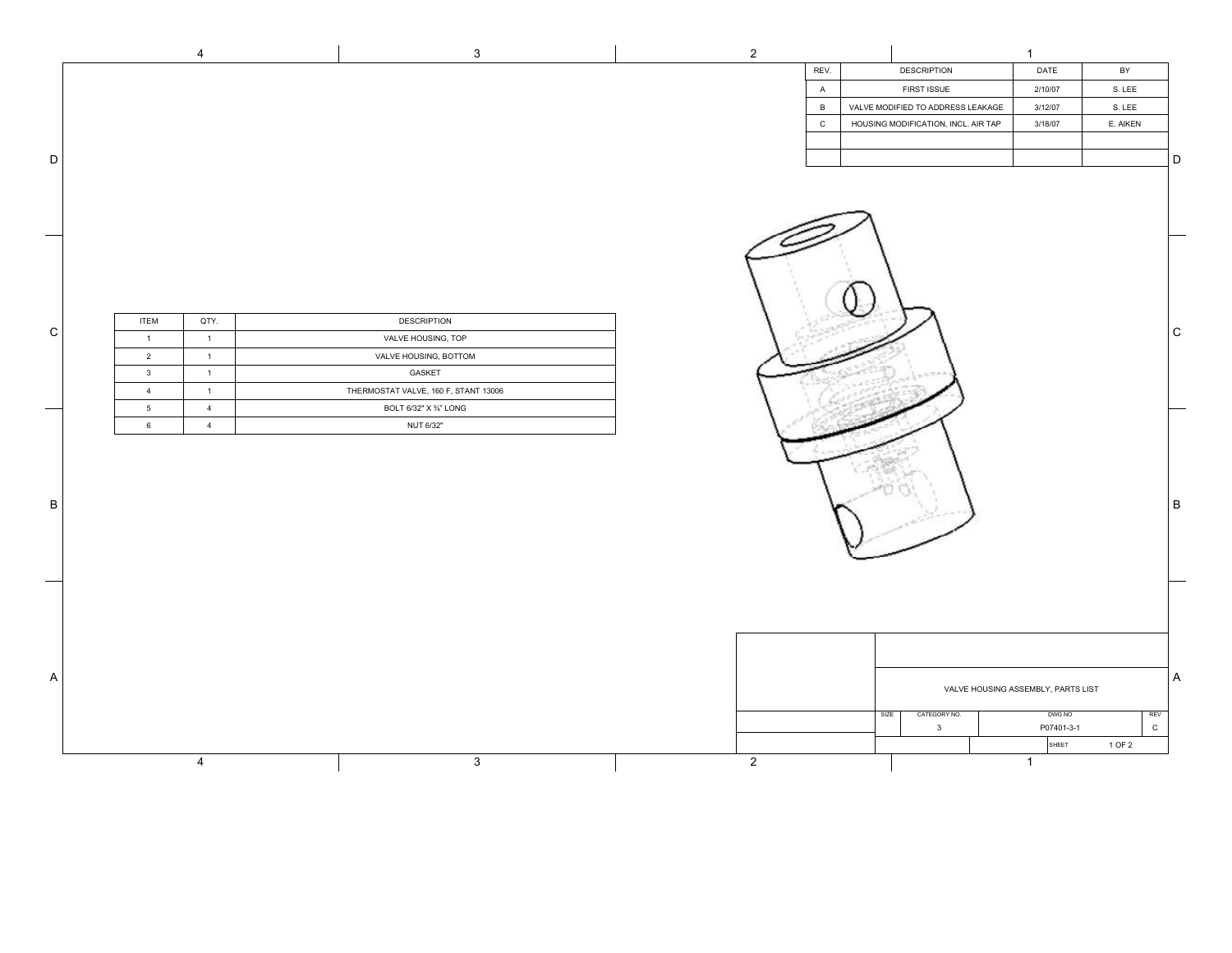|             |                                   | $\overline{4}$                   | $\mathbf{3}$                         | $\overline{2}$ |              |      |                                     | $\mathbf{1}$                                                        |          |                          |
|-------------|-----------------------------------|----------------------------------|--------------------------------------|----------------|--------------|------|-------------------------------------|---------------------------------------------------------------------|----------|--------------------------|
|             |                                   |                                  |                                      |                | REV.         |      | <b>DESCRIPTION</b>                  | DATE                                                                | BY       |                          |
|             |                                   |                                  |                                      |                | A            |      | FIRST ISSUE                         | 2/10/07                                                             | S. LEE   |                          |
|             |                                   |                                  |                                      |                | $\,$ B       |      | VALVE MODIFIED TO ADDRESS LEAKAGE   | 3/12/07                                                             | S. LEE   |                          |
|             |                                   |                                  |                                      |                | $\mathtt{C}$ |      | HOUSING MODIFICATION, INCL. AIR TAP | 3/18/07                                                             | E. AIKEN |                          |
|             |                                   |                                  |                                      |                |              |      |                                     |                                                                     |          |                          |
| $\mathsf D$ |                                   |                                  |                                      |                |              |      |                                     |                                                                     |          | D                        |
| —           |                                   |                                  |                                      |                |              |      |                                     |                                                                     |          |                          |
| ${\rm c}$   | <b>ITEM</b>                       | QTY.                             | <b>DESCRIPTION</b>                   |                |              |      |                                     |                                                                     |          | $\mathsf C$              |
|             | $\overline{1}$                    | $\overline{1}$                   | VALVE HOUSING, TOP                   |                |              |      |                                     |                                                                     |          |                          |
|             | $\overline{2}$                    | $\overline{1}$                   | VALVE HOUSING, BOTTOM                |                |              |      |                                     |                                                                     |          |                          |
|             | $\mathbf{3}$                      | $\overline{1}$                   | GASKET                               |                |              |      |                                     |                                                                     |          |                          |
|             | $\overline{4}$                    | $\overline{1}$                   | THERMOSTAT VALVE, 160 F, STANT 13006 |                |              |      |                                     |                                                                     |          |                          |
| —<br>—      | $5\phantom{.0}$<br>$6\phantom{a}$ | $\overline{4}$<br>$\overline{4}$ | BOLT 6/32" X 3/4" LONG<br>NUT 6/32"  |                |              |      |                                     |                                                                     |          |                          |
| $\sf B$     |                                   |                                  |                                      |                |              |      |                                     |                                                                     |          | $\sf B$                  |
| $\mathsf A$ |                                   |                                  |                                      |                |              | SIZE | CATEGORY NO.<br>$\mathbf{3}$        | VALVE HOUSING ASSEMBLY, PARTS LIST<br>DWG NO<br>P07401-3-1<br>SHEET | 1 OF 2   | A<br>REV<br>$\mathtt{C}$ |
|             |                                   | $\overline{4}$                   | $\mathsf 3$                          | $\overline{2}$ |              |      |                                     | $\mathbf{1}$                                                        |          |                          |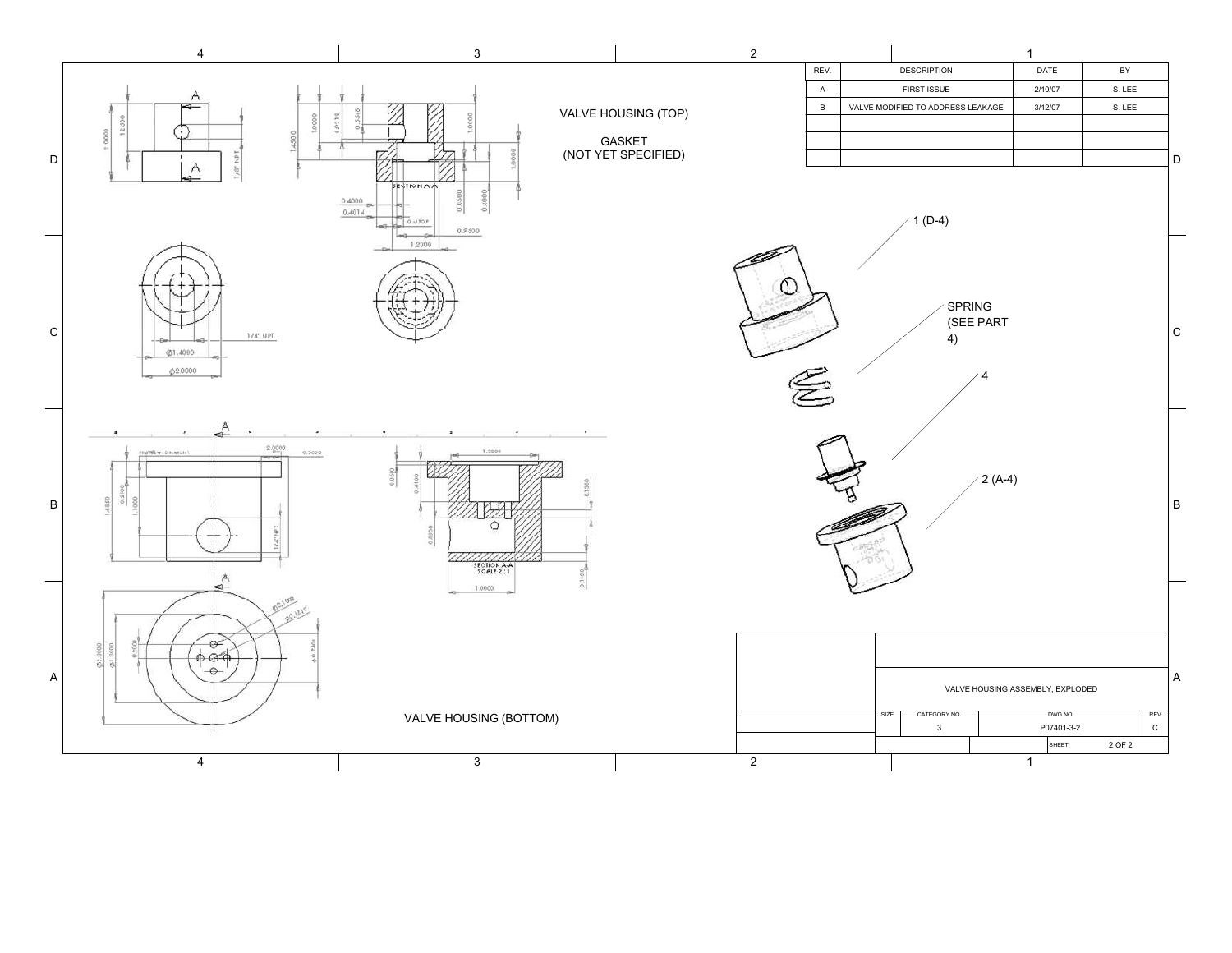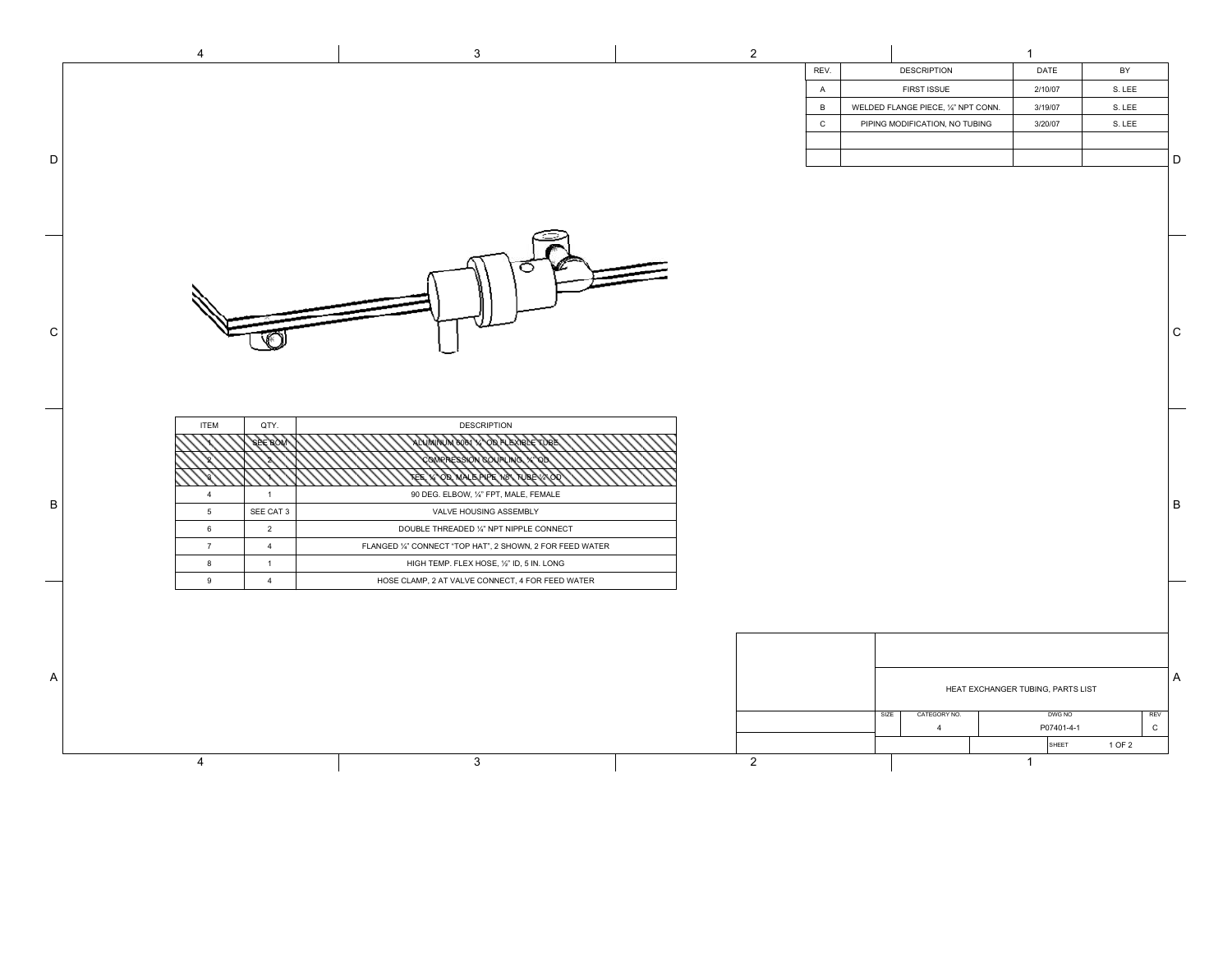|             | 4                                                                                                                                                                                   | $\mathbf{3}$                                                                                                                                                                                                                                                                                   | $\overline{2}$ |              |                                     | $\mathbf{1}$                                |              |             |
|-------------|-------------------------------------------------------------------------------------------------------------------------------------------------------------------------------------|------------------------------------------------------------------------------------------------------------------------------------------------------------------------------------------------------------------------------------------------------------------------------------------------|----------------|--------------|-------------------------------------|---------------------------------------------|--------------|-------------|
|             |                                                                                                                                                                                     |                                                                                                                                                                                                                                                                                                |                | REV.         | <b>DESCRIPTION</b>                  | DATE                                        | BY           |             |
|             |                                                                                                                                                                                     |                                                                                                                                                                                                                                                                                                |                | A            | FIRST ISSUE                         | 2/10/07                                     | S. LEE       |             |
|             |                                                                                                                                                                                     |                                                                                                                                                                                                                                                                                                |                | B            | WELDED FLANGE PIECE, 1/4" NPT CONN. | 3/19/07                                     | S. LEE       |             |
|             |                                                                                                                                                                                     |                                                                                                                                                                                                                                                                                                |                | $\mathtt{C}$ | PIPING MODIFICATION, NO TUBING      | 3/20/07                                     | S. LEE       |             |
|             |                                                                                                                                                                                     |                                                                                                                                                                                                                                                                                                |                |              |                                     |                                             |              |             |
| $\mathsf D$ |                                                                                                                                                                                     |                                                                                                                                                                                                                                                                                                |                |              |                                     |                                             |              | D           |
|             |                                                                                                                                                                                     |                                                                                                                                                                                                                                                                                                |                |              |                                     |                                             |              |             |
|             |                                                                                                                                                                                     |                                                                                                                                                                                                                                                                                                |                |              |                                     |                                             |              |             |
| ${\rm C}$   |                                                                                                                                                                                     |                                                                                                                                                                                                                                                                                                |                |              |                                     |                                             |              | $\mathbf C$ |
| $\sf B$     | <b>ITEM</b><br>QTY.<br>$\overline{4}$<br>$\blacksquare$<br>SEE CAT 3<br>$5\phantom{.0}$<br>$\overline{2}$<br>6<br>7<br>$\overline{4}$<br>8<br>$\overline{1}$<br>$\overline{4}$<br>9 | <b>DESCRIPTION</b><br>90 DEG. ELBOW, 1/4" FPT, MALE, FEMALE<br>VALVE HOUSING ASSEMBLY<br>DOUBLE THREADED 1/4" NPT NIPPLE CONNECT<br>FLANGED 1/4" CONNECT "TOP HAT", 2 SHOWN, 2 FOR FEED WATER<br>HIGH TEMP. FLEX HOSE, 1/2" ID, 5 IN. LONG<br>HOSE CLAMP, 2 AT VALVE CONNECT, 4 FOR FEED WATER |                |              |                                     |                                             |              | B           |
| A           |                                                                                                                                                                                     |                                                                                                                                                                                                                                                                                                |                |              | SIZE<br>CATEGORY NO.                | HEAT EXCHANGER TUBING, PARTS LIST<br>DWG NO | REV          | Α           |
|             |                                                                                                                                                                                     |                                                                                                                                                                                                                                                                                                |                |              | $\overline{4}$                      | P07401-4-1                                  | $\mathsf{C}$ |             |
|             |                                                                                                                                                                                     |                                                                                                                                                                                                                                                                                                |                |              |                                     | SHEET                                       | 1 OF 2       |             |
|             | 4                                                                                                                                                                                   | $\mathbf{3}$                                                                                                                                                                                                                                                                                   | $\overline{2}$ |              |                                     | $\overline{1}$                              |              |             |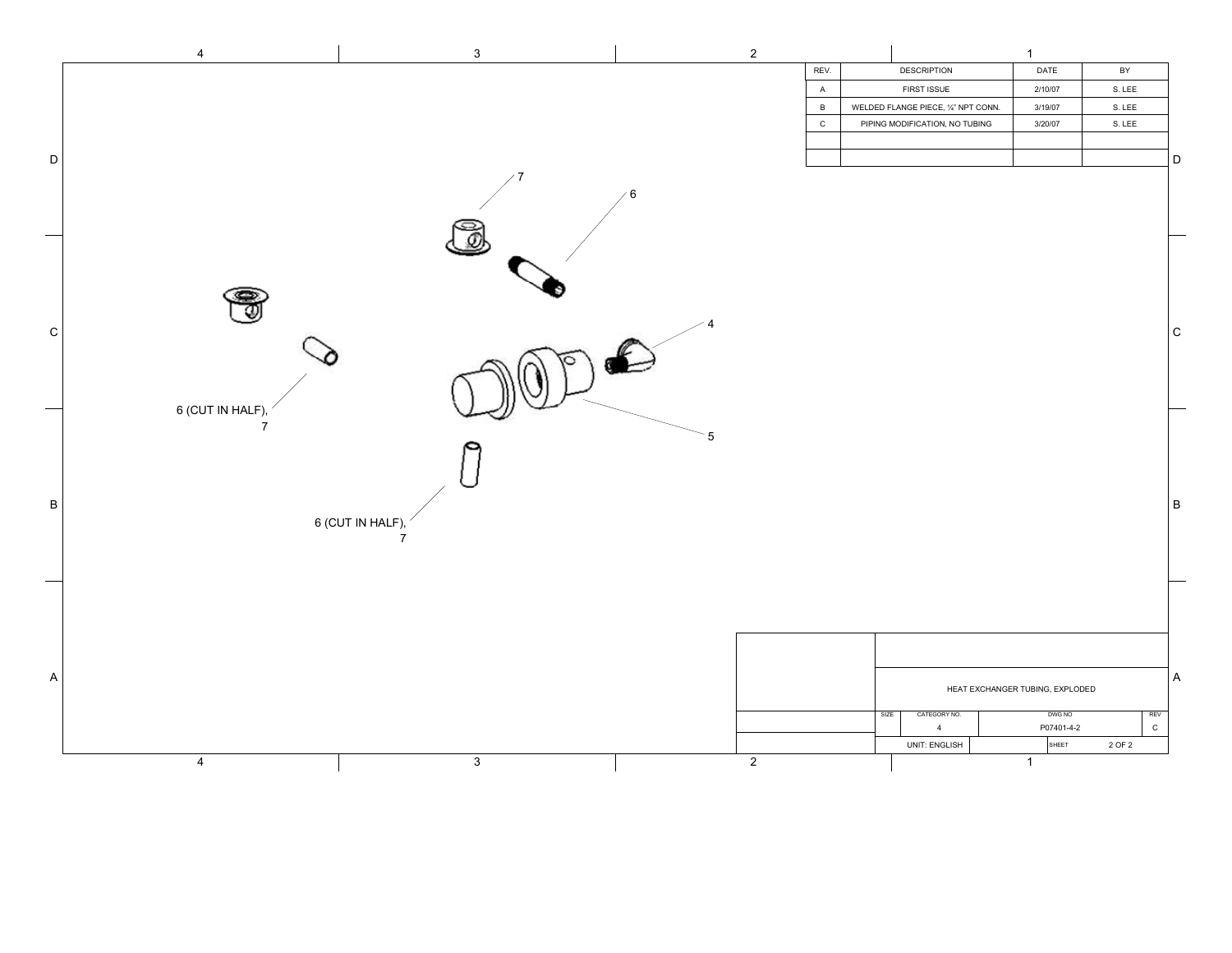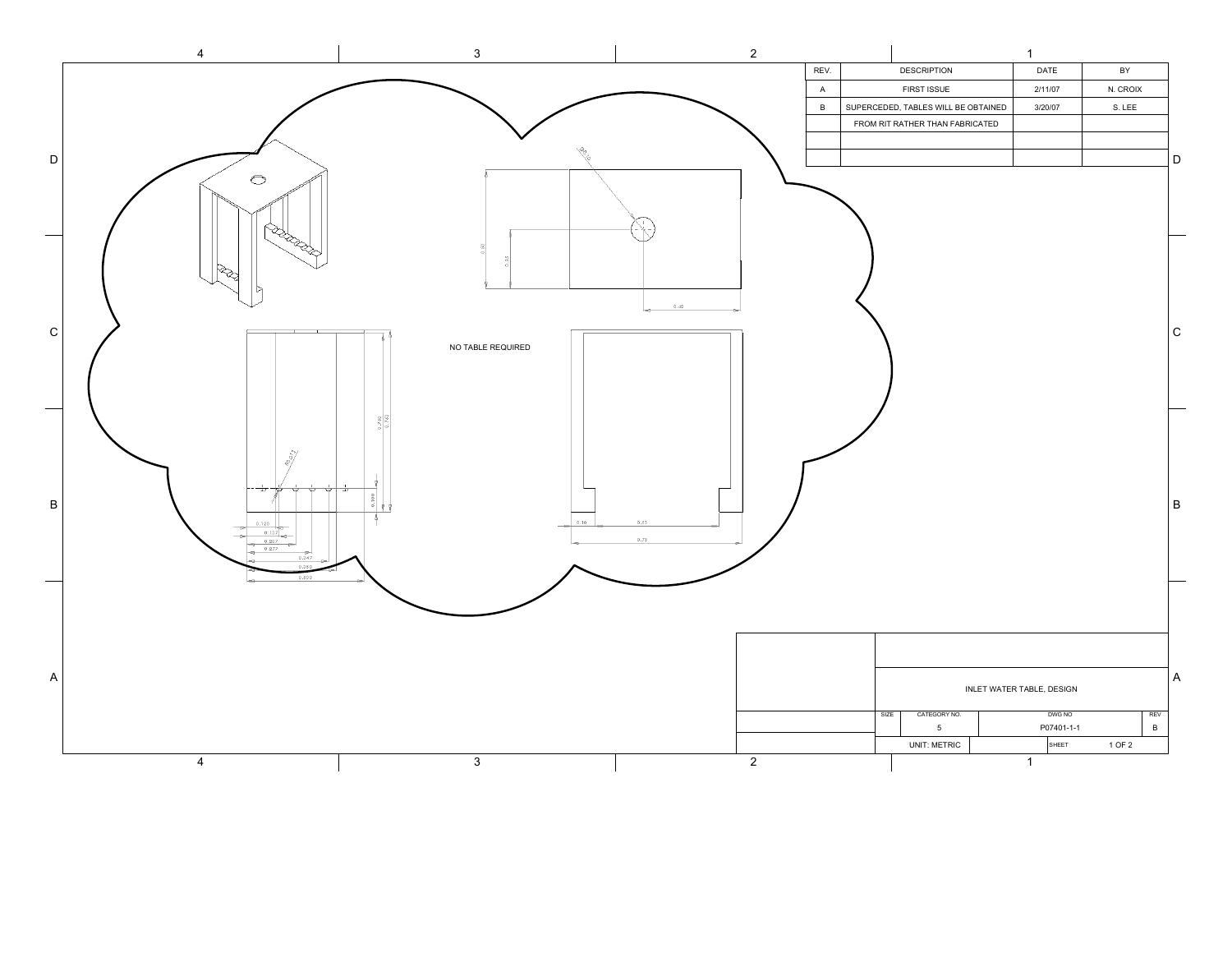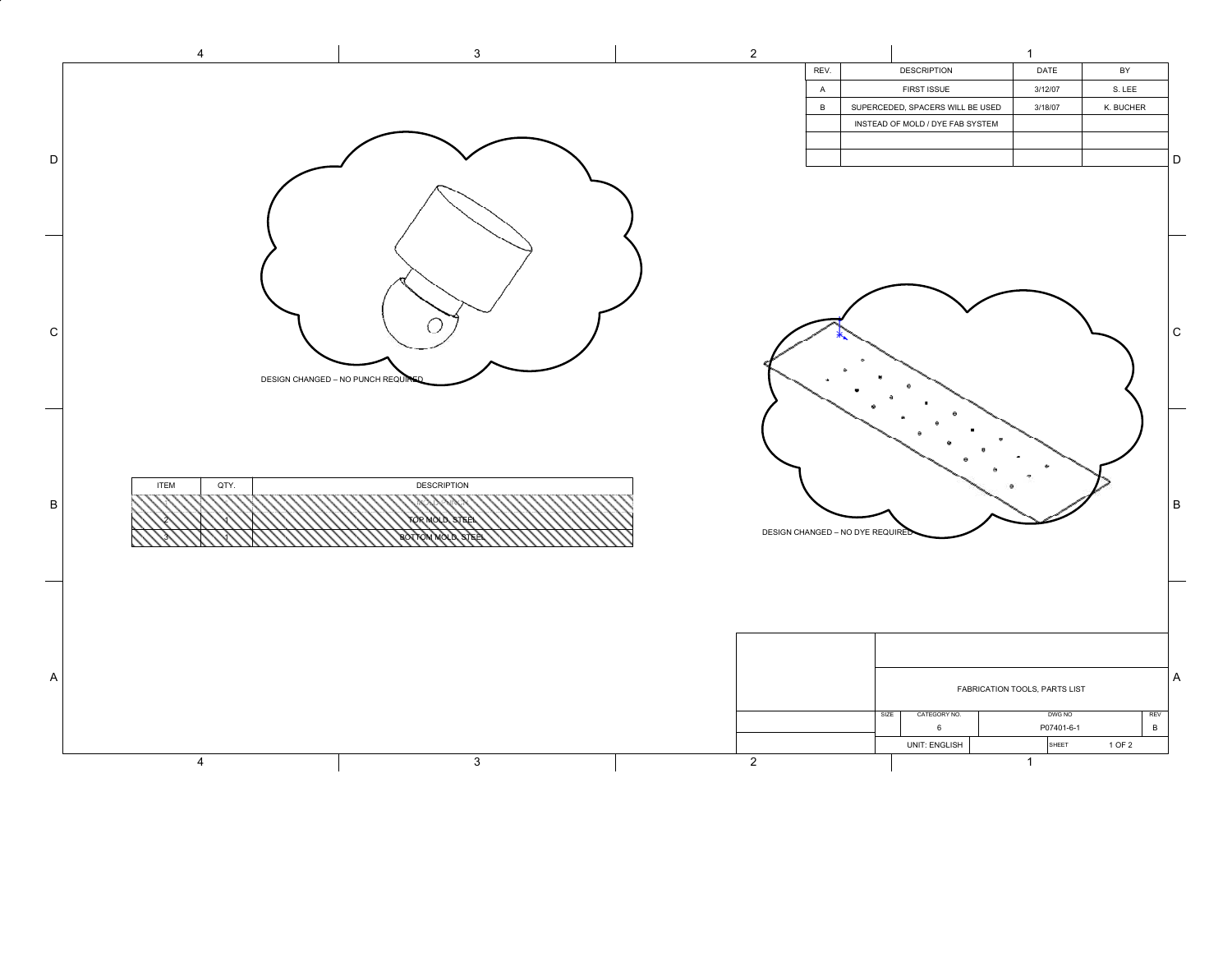